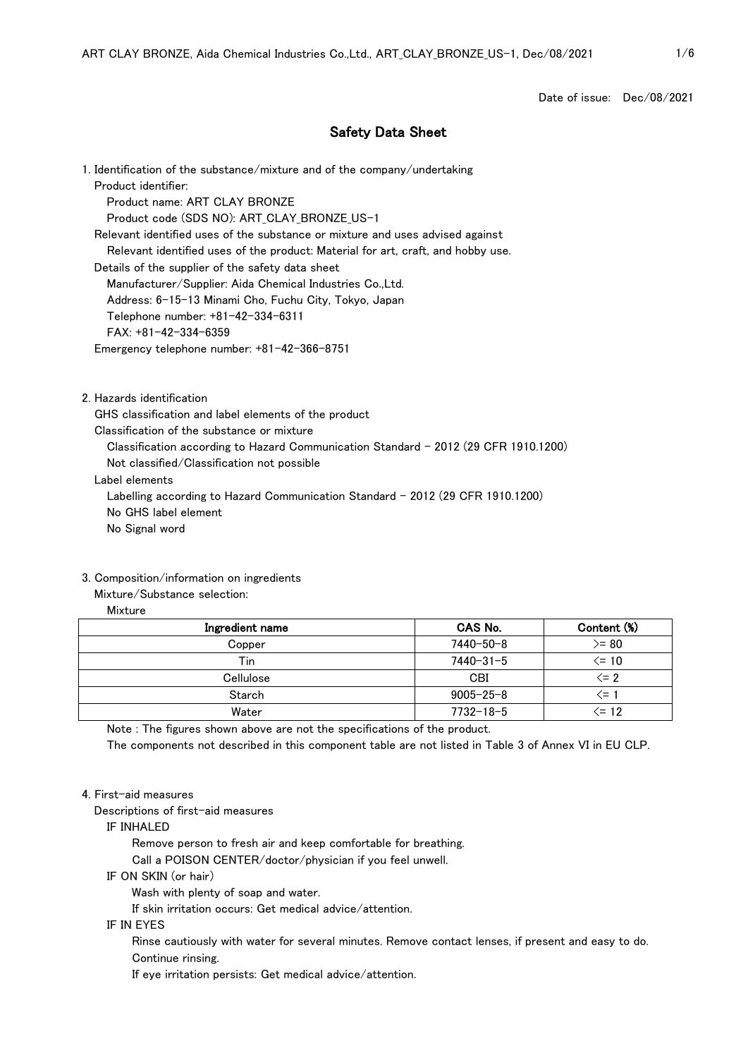Date of issue: Dec/08/2021

# Safety Data Sheet

1. Identification of the substance/mixture and of the company/undertaking Product identifier: Product name: ART CLAY BRONZE Product code (SDS NO): ART\_CLAY\_BRONZE\_US-1 Relevant identified uses of the substance or mixture and uses advised against Relevant identified uses of the product: Material for art, craft, and hobby use. Details of the supplier of the safety data sheet Manufacturer/Supplier: Aida Chemical Industries Co.,Ltd. Address: 6-15-13 Minami Cho, Fuchu City, Tokyo, Japan Telephone number: +81-42-334-6311 FAX: +81-42-334-6359 Emergency telephone number: +81-42-366-8751

2. Hazards identification

GHS classification and label elements of the product

Classification of the substance or mixture

Classification according to Hazard Communication Standard - 2012 (29 CFR 1910.1200)

Not classified/Classification not possible

Label elements

Labelling according to Hazard Communication Standard - 2012 (29 CFR 1910.1200)

No GHS label element

No Signal word

#### 3. Composition/information on ingredients

# Mixture/Substance selection:

# Mixture

| Ingredient name | CAS No.         | Content (%) |
|-----------------|-----------------|-------------|
| Copper          | 7440-50-8       | $>= 80$     |
| Tin             | $7440 - 31 - 5$ | <= 10       |
| Cellulose       | CBI             | $\leq$ 2    |
| Starch          | $9005 - 25 - 8$ | ′=          |
| Water           | $7732 - 18 - 5$ | $<= 12$     |

Note : The figures shown above are not the specifications of the product.

The components not described in this component table are not listed in Table 3 of Annex VI in EU CLP.

## 4. First-aid measures

Descriptions of first-aid measures

#### IF INHALED

Remove person to fresh air and keep comfortable for breathing.

Call a POISON CENTER/doctor/physician if you feel unwell.

IF ON SKIN (or hair)

Wash with plenty of soap and water.

If skin irritation occurs: Get medical advice/attention.

#### IF IN EYES

 Rinse cautiously with water for several minutes. Remove contact lenses, if present and easy to do. Continue rinsing.

If eye irritation persists: Get medical advice/attention.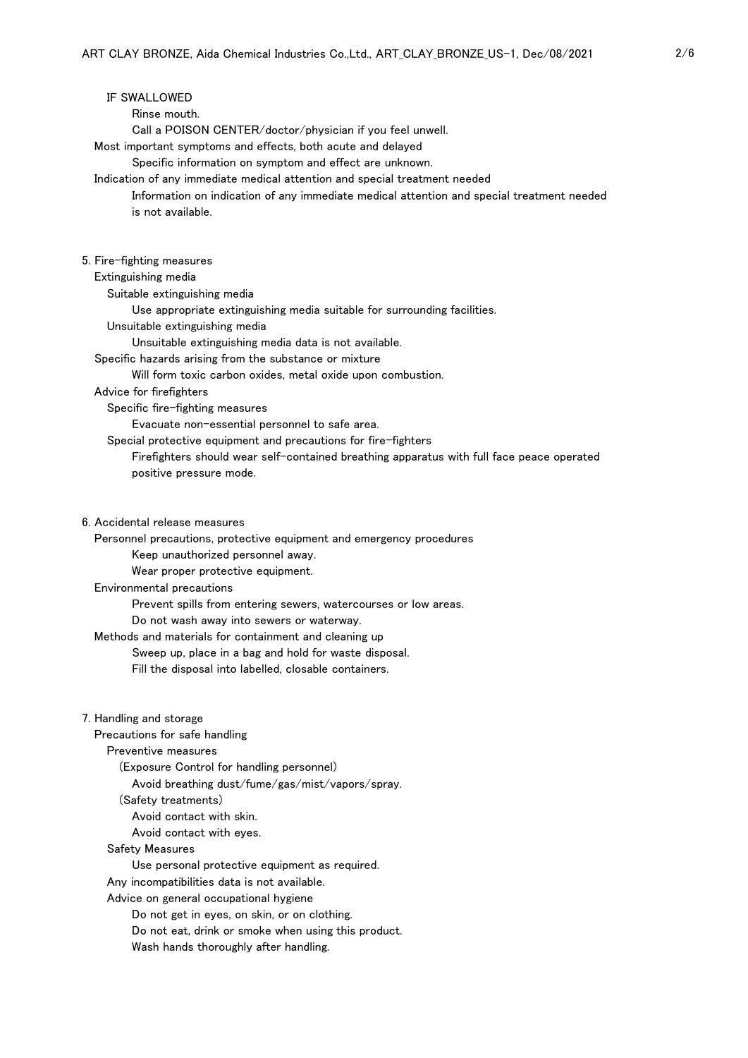# IF SWALLOWED

Rinse mouth.

Call a POISON CENTER/doctor/physician if you feel unwell.

Most important symptoms and effects, both acute and delayed

Specific information on symptom and effect are unknown.

Indication of any immediate medical attention and special treatment needed

 Information on indication of any immediate medical attention and special treatment needed is not available.

## 5. Fire-fighting measures

#### Extinguishing media

Suitable extinguishing media

Use appropriate extinguishing media suitable for surrounding facilities.

Unsuitable extinguishing media

Unsuitable extinguishing media data is not available.

Specific hazards arising from the substance or mixture

Will form toxic carbon oxides, metal oxide upon combustion.

## Advice for firefighters

Specific fire-fighting measures

Evacuate non-essential personnel to safe area.

Special protective equipment and precautions for fire-fighters

 Firefighters should wear self-contained breathing apparatus with full face peace operated positive pressure mode.

6. Accidental release measures

Personnel precautions, protective equipment and emergency procedures

Keep unauthorized personnel away.

Wear proper protective equipment.

## Environmental precautions

Prevent spills from entering sewers, watercourses or low areas.

Do not wash away into sewers or waterway.

Methods and materials for containment and cleaning up

Sweep up, place in a bag and hold for waste disposal.

Fill the disposal into labelled, closable containers.

7. Handling and storage

Precautions for safe handling

Preventive measures

(Exposure Control for handling personnel)

Avoid breathing dust/fume/gas/mist/vapors/spray.

(Safety treatments)

Avoid contact with skin.

Avoid contact with eyes.

#### Safety Measures

Use personal protective equipment as required.

Any incompatibilities data is not available.

Advice on general occupational hygiene

Do not get in eyes, on skin, or on clothing.

Do not eat, drink or smoke when using this product.

Wash hands thoroughly after handling.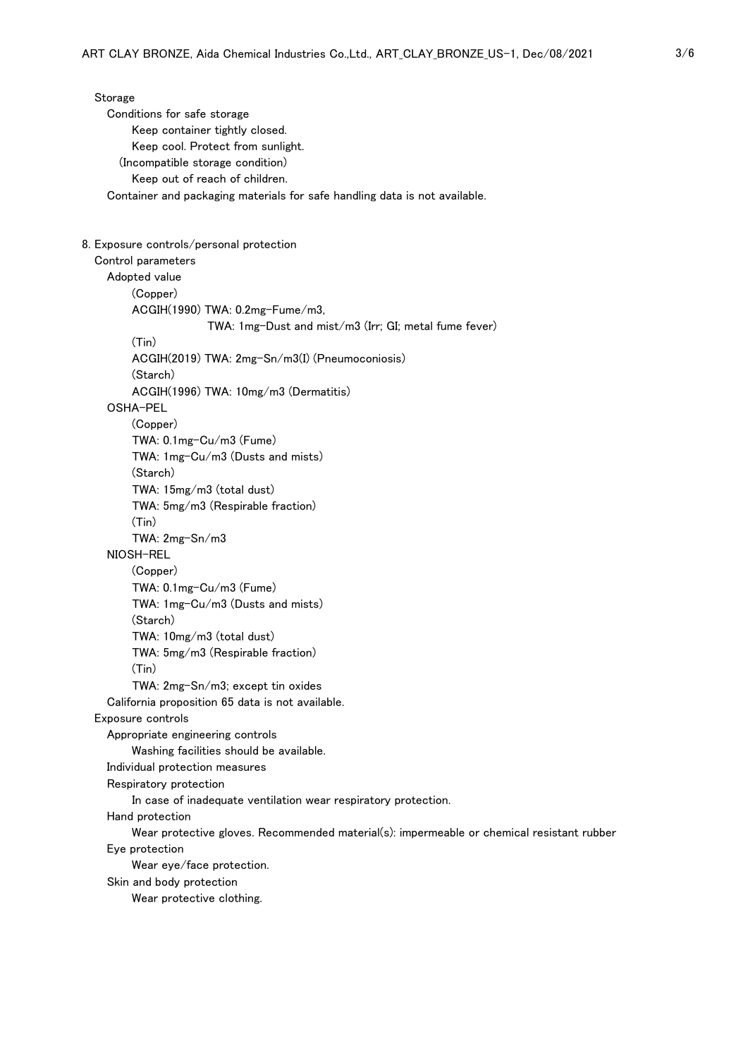Storage Conditions for safe storage Keep container tightly closed. Keep cool. Protect from sunlight. (Incompatible storage condition) Keep out of reach of children. Container and packaging materials for safe handling data is not available. 8. Exposure controls/personal protection Control parameters Adopted value (Copper) ACGIH(1990) TWA: 0.2mg-Fume/m3, TWA: 1mg-Dust and mist/m3 (Irr; GI; metal fume fever) (Tin) ACGIH(2019) TWA: 2mg-Sn/m3(I) (Pneumoconiosis) (Starch) ACGIH(1996) TWA: 10mg/m3 (Dermatitis) OSHA-PEL (Copper) TWA: 0.1mg-Cu/m3 (Fume) TWA: 1mg-Cu/m3 (Dusts and mists) (Starch) TWA: 15mg/m3 (total dust) TWA: 5mg/m3 (Respirable fraction) (Tin) TWA: 2mg-Sn/m3 NIOSH-REL (Copper) TWA: 0.1mg-Cu/m3 (Fume) TWA: 1mg-Cu/m3 (Dusts and mists) (Starch) TWA: 10mg/m3 (total dust) TWA: 5mg/m3 (Respirable fraction) (Tin) TWA: 2mg-Sn/m3; except tin oxides California proposition 65 data is not available. Exposure controls Appropriate engineering controls Washing facilities should be available. Individual protection measures Respiratory protection In case of inadequate ventilation wear respiratory protection. Hand protection Wear protective gloves. Recommended material(s): impermeable or chemical resistant rubber Eye protection Wear eye/face protection. Skin and body protection Wear protective clothing.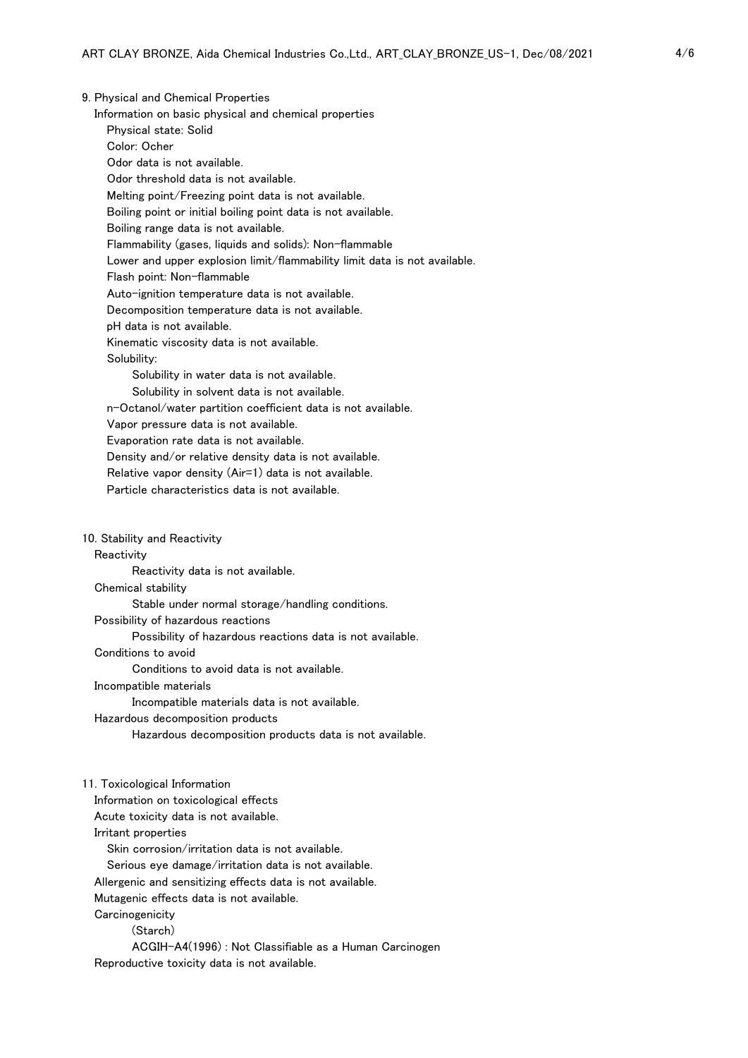9. Physical and Chemical Properties

Information on basic physical and chemical properties

Physical state: Solid

Color: Ocher

Odor data is not available.

Odor threshold data is not available.

Melting point/Freezing point data is not available.

Boiling point or initial boiling point data is not available.

Boiling range data is not available.

Flammability (gases, liquids and solids): Non-flammable

Lower and upper explosion limit/flammability limit data is not available.

Flash point: Non-flammable

Auto-ignition temperature data is not available.

Decomposition temperature data is not available.

pH data is not available.

Kinematic viscosity data is not available.

Solubility:

Solubility in water data is not available.

Solubility in solvent data is not available.

n-Octanol/water partition coefficient data is not available.

Vapor pressure data is not available.

Evaporation rate data is not available.

Density and/or relative density data is not available.

Relative vapor density (Air=1) data is not available.

Particle characteristics data is not available.

10. Stability and Reactivity

#### **Reactivity**

Reactivity data is not available.

#### Chemical stability

Stable under normal storage/handling conditions.

Possibility of hazardous reactions

Possibility of hazardous reactions data is not available.

Conditions to avoid

Conditions to avoid data is not available.

## Incompatible materials

Incompatible materials data is not available.

#### Hazardous decomposition products

Hazardous decomposition products data is not available.

#### 11. Toxicological Information

Information on toxicological effects

Acute toxicity data is not available.

Irritant properties

Skin corrosion/irritation data is not available.

Serious eye damage/irritation data is not available.

Allergenic and sensitizing effects data is not available.

Mutagenic effects data is not available.

**Carcinogenicity** 

(Starch)

 ACGIH-A4(1996) : Not Classifiable as a Human Carcinogen Reproductive toxicity data is not available.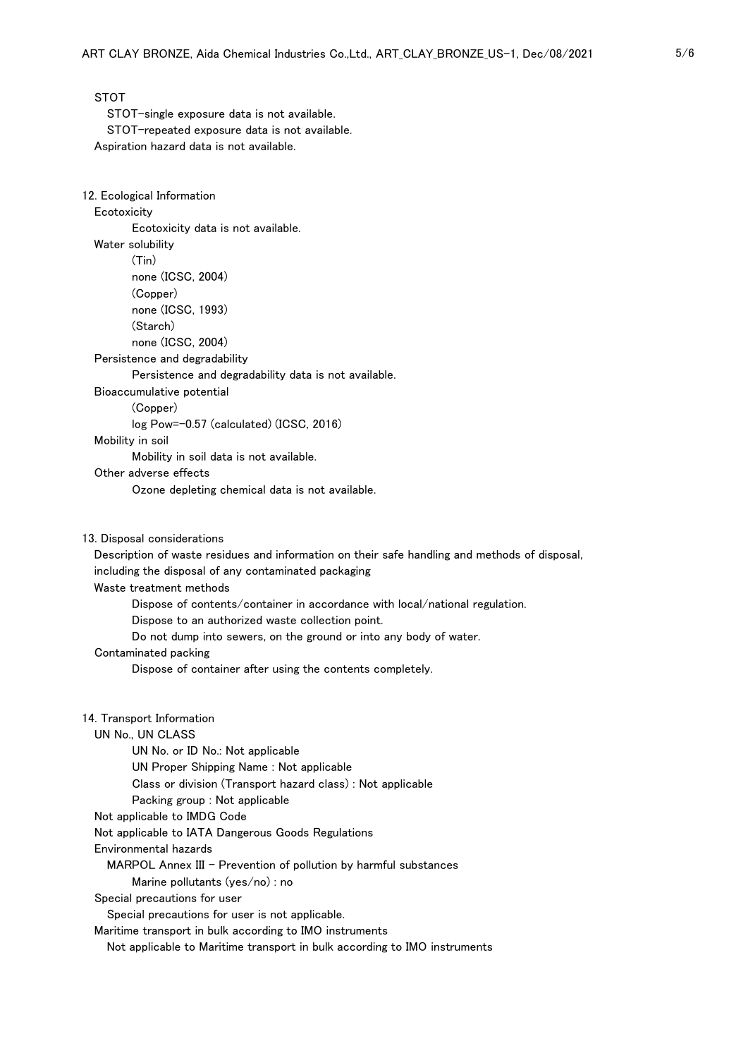STOT

 STOT-single exposure data is not available. STOT-repeated exposure data is not available. Aspiration hazard data is not available.

#### 12. Ecological Information

### **Ecotoxicity**

Ecotoxicity data is not available.

### Water solubility

(Tin)

none (ICSC, 2004)

(Copper)

none (ICSC, 1993)

(Starch)

none (ICSC, 2004)

Persistence and degradability

Persistence and degradability data is not available.

Bioaccumulative potential

(Copper)

log Pow=-0.57 (calculated) (ICSC, 2016)

## Mobility in soil

Mobility in soil data is not available.

Other adverse effects

Ozone depleting chemical data is not available.

13. Disposal considerations

 Description of waste residues and information on their safe handling and methods of disposal, including the disposal of any contaminated packaging

Waste treatment methods

Dispose of contents/container in accordance with local/national regulation.

Dispose to an authorized waste collection point.

Do not dump into sewers, on the ground or into any body of water.

#### Contaminated packing

Dispose of container after using the contents completely.

### 14. Transport Information

## UN No., UN CLASS

 UN No. or ID No.: Not applicable UN Proper Shipping Name : Not applicable Class or division (Transport hazard class) : Not applicable Packing group : Not applicable Not applicable to IMDG Code Not applicable to IATA Dangerous Goods Regulations Environmental hazards MARPOL Annex III - Prevention of pollution by harmful substances Marine pollutants (yes/no) : no Special precautions for user Special precautions for user is not applicable. Maritime transport in bulk according to IMO instruments

Not applicable to Maritime transport in bulk according to IMO instruments